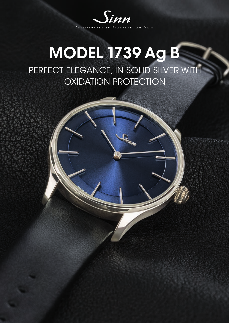

## MODEL 1739 Ag B PERFECT ELEGANCE, IN SOLID SILVER WITH OXIDATION PROTECTION